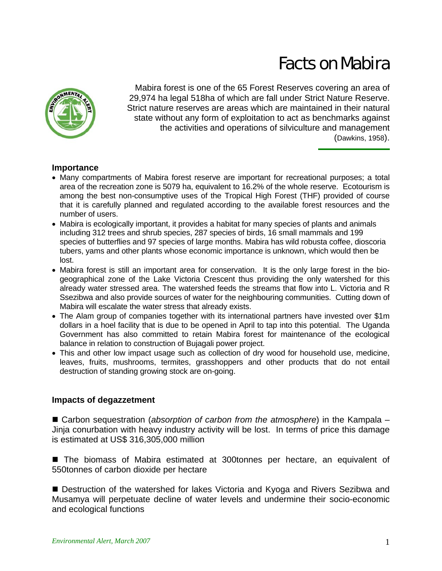# Facts on Mabira



Mabira forest is one of the 65 Forest Reserves covering an area of 29,974 ha legal 518ha of which are fall under Strict Nature Reserve. Strict nature reserves are areas which are maintained in their natural state without any form of exploitation to act as benchmarks against the activities and operations of silviculture and management (Dawkins, 1958).

### **Importance**

- Many compartments of Mabira forest reserve are important for recreational purposes; a total area of the recreation zone is 5079 ha, equivalent to 16.2% of the whole reserve. Ecotourism is among the best non-consumptive uses of the Tropical High Forest (THF) provided of course that it is carefully planned and regulated according to the available forest resources and the number of users.
- Mabira is ecologically important, it provides a habitat for many species of plants and animals including 312 trees and shrub species, 287 species of birds, 16 small mammals and 199 species of butterflies and 97 species of large months. Mabira has wild robusta coffee, dioscoria tubers, yams and other plants whose economic importance is unknown, which would then be lost.
- Mabira forest is still an important area for conservation. It is the only large forest in the biogeographical zone of the Lake Victoria Crescent thus providing the only watershed for this already water stressed area. The watershed feeds the streams that flow into L. Victoria and R Ssezibwa and also provide sources of water for the neighbouring communities. Cutting down of Mabira will escalate the water stress that already exists.
- The Alam group of companies together with its international partners have invested over \$1m dollars in a hoel facility that is due to be opened in April to tap into this potential. The Uganda Government has also committed to retain Mabira forest for maintenance of the ecological balance in relation to construction of Bujagali power project.
- This and other low impact usage such as collection of dry wood for household use, medicine, leaves, fruits, mushrooms, termites, grasshoppers and other products that do not entail destruction of standing growing stock are on-going.

# **Impacts of degazzetment**

■ Carbon sequestration (*absorption of carbon from the atmosphere*) in the Kampala – Jinja conurbation with heavy industry activity will be lost. In terms of price this damage is estimated at US\$ 316,305,000 million

■ The biomass of Mabira estimated at 300tonnes per hectare, an equivalent of 550tonnes of carbon dioxide per hectare

■ Destruction of the watershed for lakes Victoria and Kyoga and Rivers Sezibwa and Musamya will perpetuate decline of water levels and undermine their socio-economic and ecological functions